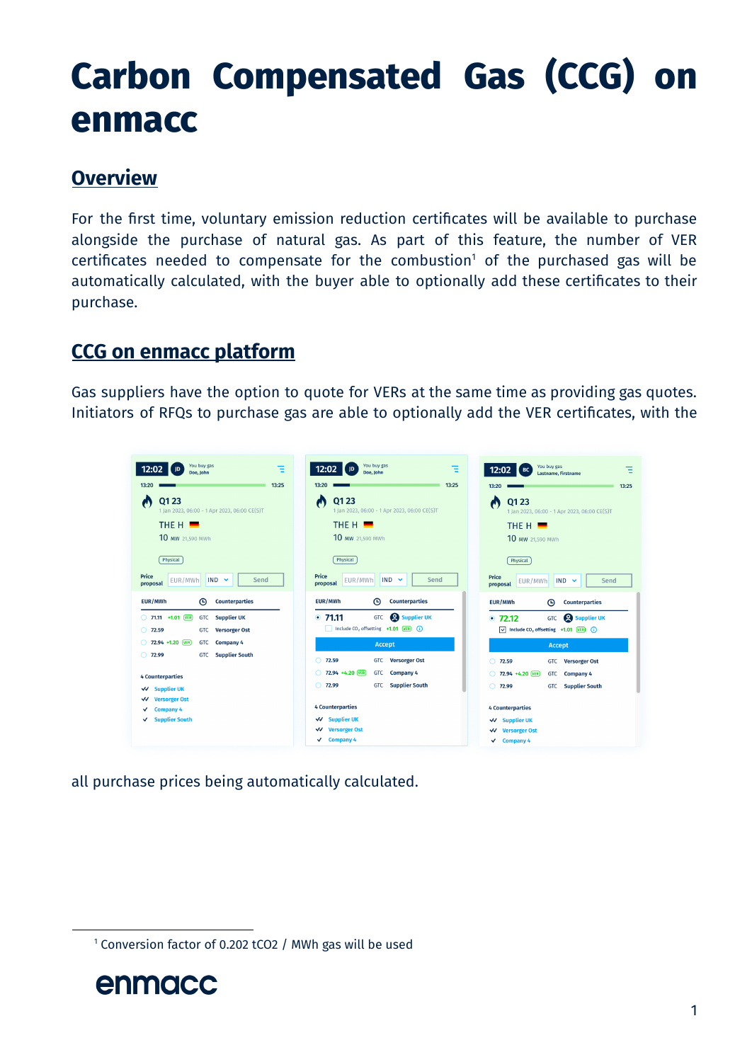# **Carbon Compensated Gas (CCG) on enmacc**

#### **Overview**

For the first time, voluntary emission reduction certificates will be available to purchase alongside the purchase of natural gas. As part of this feature, the number of VER  $c$ ertificates needed to compensate for the combustion<sup>1</sup> of the purchased gas will be automatically calculated, with the buyer able to optionally add these certificates to their purchase.

### **CCG on enmacc platform**

Gas suppliers have the option to quote for VERs at the same time as providing gas quotes. Initiators of RFQs to purchase gas are able to optionally add the VER certificates, with the

| You buy gas<br>Έ<br>12:02<br>Doe, John<br>13:25<br>13:20                                                      | You buy gas<br>Έ<br>12:02<br>Doe, John<br>13:25<br>13:20                           | You buy gas<br>12:02<br>Ξ<br>Lastname, Firstname<br>13:20<br>13:25                                  |
|---------------------------------------------------------------------------------------------------------------|------------------------------------------------------------------------------------|-----------------------------------------------------------------------------------------------------|
| Q1 23<br>7<br>1 Jan 2023, 06:00 - 1 Apr 2023, 06:00 CE(S)T                                                    | Q1 23<br>1 Jan 2023, 06:00 - 1 Apr 2023, 06:00 CE(S)T                              | Q1 23<br>æ<br>1 Jan 2023, 06:00 - 1 Apr 2023, 06:00 CE(S)T                                          |
| THE H $=$                                                                                                     | THE H $=$                                                                          | THE H $=$                                                                                           |
| 10 MW 21.590 MWh                                                                                              | 10 MW 21,590 MWh                                                                   | 10 MW 21,590 MWh                                                                                    |
| Physical                                                                                                      | Physical                                                                           | Physical                                                                                            |
| Price<br>$IND \sim$<br>Send<br>EUR/MWh<br>proposal                                                            | Price<br>$IND \sim$<br>EUR/MWh<br>Send<br>proposal                                 | Price<br>EUR/MWh<br>$IND \sim$<br>Send<br>proposal                                                  |
| <b>Counterparties</b><br>EUR/MWh<br>⊕                                                                         | EUR/MWh<br><b>Counterparties</b><br>⊕                                              | EUR/MWh<br>$\odot$<br><b>Counterparties</b>                                                         |
| 71.11 +1.01 VER<br><b>Supplier UK</b><br><b>GTC</b><br>$\bigcirc$ 72.59<br><b>Versorger Ost</b><br><b>GTC</b> | Supplier UK<br>•71.11<br>GTC<br>Include CO <sub>2</sub> offsetting +1.01 (VER) (1) | Supplier UK<br>$\odot$ 72.12<br>GTC<br>$\sqrt{}$ Include CO <sub>2</sub> offsetting +1.01 (VER) (1) |
| 72.94 +1.20 (VER)<br>Company 4<br><b>GTC</b>                                                                  | Accept                                                                             | <b>Accept</b>                                                                                       |
| 72.99<br><b>Supplier South</b><br>$\circ$<br><b>GTC</b>                                                       | 72.59<br><b>GTC</b> Versorger Ost<br>∩                                             | GTC Versorger Ost<br>$\bigcirc$ 72.59                                                               |
| <b>4 Counterparties</b>                                                                                       | 72.94 +4.20 (VER)<br><b>GTC</b><br><b>Company 4</b>                                | $22.94 + 4.20$ (VER)<br>GTC Company 4                                                               |
| <b>VV</b> Supplier UK                                                                                         | <b>Supplier South</b><br>72.99<br><b>GTC</b>                                       | <b>Supplier South</b><br>72.99<br>$\circ$<br><b>GTC</b>                                             |
| <b>Versorger Ost</b><br>₩                                                                                     |                                                                                    |                                                                                                     |
| <b>Company 4</b><br>✓                                                                                         | <b>4 Counterparties</b>                                                            | <b>4 Counterparties</b>                                                                             |
| <b>Supplier South</b><br>✓                                                                                    | <b>VV</b> Supplier UK                                                              | <b>VV</b> Supplier UK                                                                               |
|                                                                                                               | <b>VV</b> Versorger Ost                                                            | <b>VV</b> Versorger Ost                                                                             |
|                                                                                                               | <b>Company 4</b><br>✓                                                              | <b>Company 4</b><br>✓                                                                               |

all purchase prices being automatically calculated.

<sup>1</sup> Conversion factor of 0.202 tCO2 / MWh gas will be used